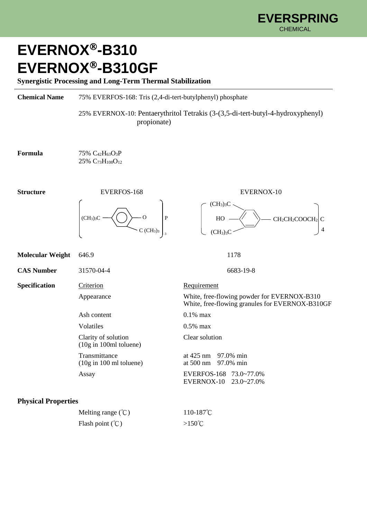## **EVERNOX-B310 EVERNOX-B310GF**

**Synergistic Processing and Long-Term Thermal Stabilization**

**Chemical Name** 75% EVERFOS-168: Tris (2,4-di-tert-butylphenyl) phosphate

 25% EVERNOX-10: Pentaerythritol Tetrakis (3-(3,5-di-tert-butyl-4-hydroxyphenyl) propionate)

 $(CH<sub>3</sub>)<sub>3</sub>C$ 

 $(CH<sub>3</sub>)<sub>3</sub>C$ 

 $HO \longrightarrow \qquad \searrow$  CH<sub>2</sub>CH<sub>2</sub>COOCH<sub>2</sub> C

4

**Formula** 75% C<sub>42</sub>H<sub>63</sub>O<sub>3</sub>P 25% C73H108O<sup>12</sup>





**Molecular Weight** 646.9 1178 **CAS Number** 31570-04-4 6683-19-8 **Specification** Criterion Requirement Appearance White, free-flowing powder for EVERNOX-B310 White, free-flowing granules for EVERNOX-B310GF Ash content 0.1% max Volatiles 0.5% max Clarity of solution Clear solution (10g in 100ml toluene) Transmittance at 425 nm 97.0% min (10g in 100 ml toluene) at 500 nm 97.0% min Assay EVERFOS-168 73.0~77.0% EVERNOX-10 23.0~27.0% **Physical Properties**

| Melting range $({}^{\circ}\mathcal{C})$ | $110-187^{\circ}$ C |
|-----------------------------------------|---------------------|
| Flash point $({\rm ^{\circ}C})$         | $>150^{\circ}$ C    |